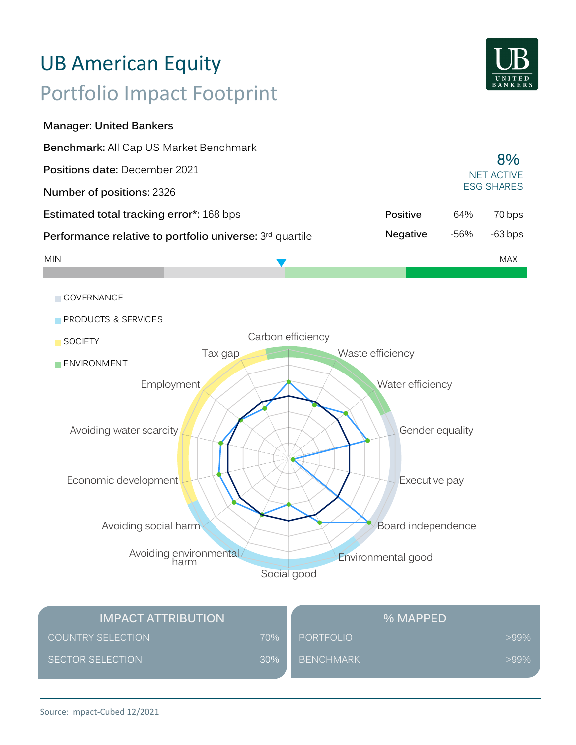# Portfolio Impact Footprint UB American Equity

**Manager: United Bankers**



| Benchmark: All Cap US Market Benchmark                   |                 |      |                         |     |
|----------------------------------------------------------|-----------------|------|-------------------------|-----|
| <b>Positions date: December 2021</b>                     |                 |      | 8%<br><b>NET ACTIVE</b> |     |
| Number of positions: 2326                                |                 |      | <b>ESG SHARES</b>       |     |
| <b>Estimated total tracking error*: 168 bps</b>          | Positive        | 64%  | 70 bps                  |     |
| Performance relative to portfolio universe: 3rd quartile | <b>Negative</b> | -56% | $-63$ bps               |     |
| <b>MIN</b>                                               |                 |      |                         | MAX |



| <b>IMPACT ATTRIBUTION</b> | <b>% MAPPED</b> |                  |         |
|---------------------------|-----------------|------------------|---------|
| <b>COUNTRY SELECTION</b>  | 70%             | PORTFOLIO        | $>99\%$ |
| SECTOR SELECTION          | 30%             | <b>BENCHMARK</b> | $>99\%$ |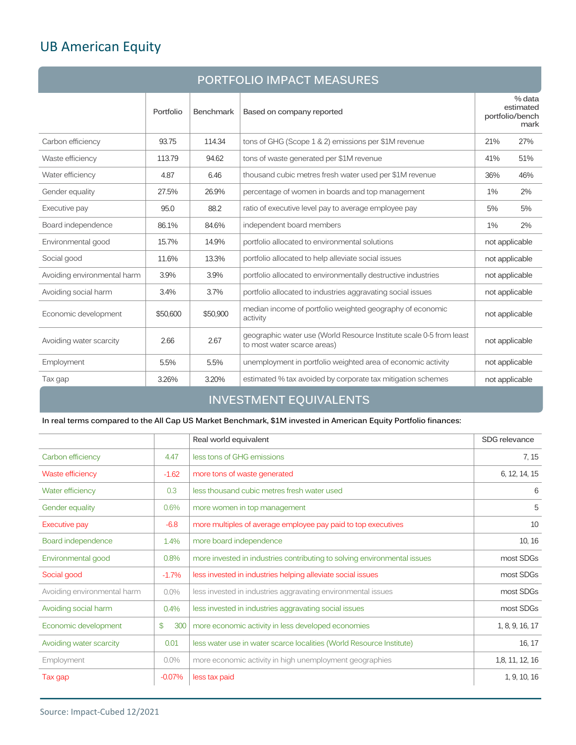# UB American Equity

| <b>PORTFOLIO IMPACT MEASURES</b> |           |                  |                                                                                                    |                |                                                |
|----------------------------------|-----------|------------------|----------------------------------------------------------------------------------------------------|----------------|------------------------------------------------|
|                                  | Portfolio | <b>Benchmark</b> | Based on company reported                                                                          |                | % data<br>estimated<br>portfolio/bench<br>mark |
| Carbon efficiency                | 93.75     | 114.34           | tons of GHG (Scope 1 & 2) emissions per \$1M revenue                                               | 21%            | 27%                                            |
| Waste efficiency                 | 113.79    | 94.62            | tons of waste generated per \$1M revenue                                                           | 41%            | 51%                                            |
| Water efficiency                 | 4.87      | 6.46             | thousand cubic metres fresh water used per \$1M revenue                                            | 36%            | 46%                                            |
| Gender equality                  | 27.5%     | 26.9%            | percentage of women in boards and top management                                                   | 1%             | 2%                                             |
| Executive pay                    | 95.0      | 88.2             | ratio of executive level pay to average employee pay                                               | 5%             | 5%                                             |
| Board independence               | 86.1%     | 84.6%            | independent board members                                                                          | 1%             | 2%                                             |
| Environmental good               | 15.7%     | 14.9%            | portfolio allocated to environmental solutions                                                     | not applicable |                                                |
| Social good                      | 11.6%     | 13.3%            | portfolio allocated to help alleviate social issues                                                | not applicable |                                                |
| Avoiding environmental harm      | 3.9%      | 3.9%             | portfolio allocated to environmentally destructive industries                                      | not applicable |                                                |
| Avoiding social harm             | 3.4%      | 3.7%             | portfolio allocated to industries aggravating social issues                                        | not applicable |                                                |
| Economic development             | \$50,600  | \$50,900         | median income of portfolio weighted geography of economic<br>activity                              | not applicable |                                                |
| Avoiding water scarcity          | 2.66      | 2.67             | geographic water use (World Resource Institute scale 0-5 from least<br>to most water scarce areas) | not applicable |                                                |
| Employment                       | 5.5%      | 5.5%             | unemployment in portfolio weighted area of economic activity                                       | not applicable |                                                |
| Tax gap                          | 3.26%     | 3.20%            | estimated % tax avoided by corporate tax mitigation schemes                                        | not applicable |                                                |

# **INVESTMENT EQUIVALENTS**

**In real terms compared to the All Cap US Market Benchmark, \$1M invested in American Equity Portfolio finances:** 

|                             |           | Real world equivalent                                                    | SDG relevance   |
|-----------------------------|-----------|--------------------------------------------------------------------------|-----------------|
| Carbon efficiency           | 4.47      | less tons of GHG emissions                                               | 7, 15           |
| Waste efficiency            | $-1.62$   | more tons of waste generated                                             | 6, 12, 14, 15   |
| Water efficiency            | 0.3       | less thousand cubic metres fresh water used                              | 6               |
| Gender equality             | 0.6%      | more women in top management                                             | 5               |
| Executive pay               | $-6.8$    | more multiples of average employee pay paid to top executives            | 10              |
| Board independence          | 1.4%      | more board independence                                                  | 10, 16          |
| Environmental good          | 0.8%      | more invested in industries contributing to solving environmental issues | most SDGs       |
| Social good                 | $-1.7%$   | less invested in industries helping alleviate social issues              | most SDGs       |
| Avoiding environmental harm | $0.0\%$   | less invested in industries aggravating environmental issues             | most SDGs       |
| Avoiding social harm        | 0.4%      | less invested in industries aggravating social issues                    | most SDGs       |
| Economic development        | 300<br>\$ | more economic activity in less developed economies                       | 1, 8, 9, 16, 17 |
| Avoiding water scarcity     | 0.01      | less water use in water scarce localities (World Resource Institute)     | 16, 17          |
| Employment                  | $0.0\%$   | more economic activity in high unemployment geographies                  | 1,8, 11, 12, 16 |
| Tax gap                     | $-0.07%$  | less tax paid                                                            | 1, 9, 10, 16    |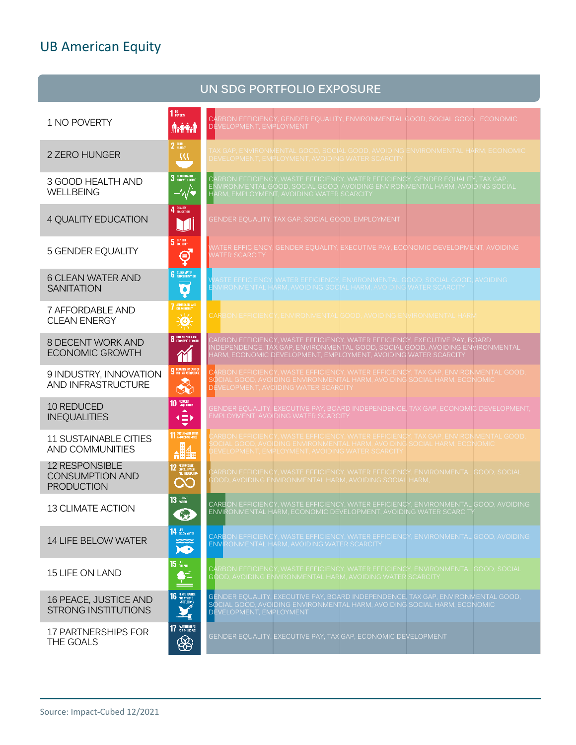# UB American Equity

|                                                                      |                                                                   | UN SDG PORTFOLIO EXPOSURE                                                                                                                                                                                                       |
|----------------------------------------------------------------------|-------------------------------------------------------------------|---------------------------------------------------------------------------------------------------------------------------------------------------------------------------------------------------------------------------------|
| 1 NO POVERTY                                                         | 1 <sup>HO</sup> POVERTY<br><b>Axitat</b>                          | CARBON EFFICIENCY, GENDER EQUALITY, ENVIRONMENTAL GOOD, SOCIAL GOOD, ECONOMIC<br>DEVELOPMENT, EMPLOYMENT                                                                                                                        |
| 2 ZERO HUNGER                                                        | $2$ $\frac{\text{RRO}}{\text{HURGER}}$<br>322                     | FAX GAP, ENVIRONMENTAL GOOD, SOCIAL GOOD, AVOIDING ENVIRONMENTAL HARM, ECONOMIC<br>DEVELOPMENT, EMPLOYMENT, AVOIDING WATER SCARCITY                                                                                             |
| 3 GOOD HEALTH AND<br><b>WELLBEING</b>                                | 3 GOOD HEALTH<br>$-\sqrt{\bullet}$                                | CARBON EFFICIENCY, WASTE EFFICIENCY, WATER EFFICIENCY, GENDER EQUALITY, TAX GAP,<br>ENVIRONMENTAL GOOD, SOCIAL GOOD, AVOIDING ENVIRONMENTAL HARM, AVOIDING SOCIAL<br>HARM, EMPLOYMENT, AVOIDING WATER SCARCITY                  |
| 4 QUALITY EDUCATION                                                  | 4 QUALITY<br>M                                                    | GENDER EQUALITY, TAX GAP, SOCIAL GOOD, EMPLOYMENT                                                                                                                                                                               |
| <b>5 GENDER EQUALITY</b>                                             | 5 GENDER<br>ේ                                                     | WATER EFFICIENCY, GENDER EOUALITY, EXECUTIVE PAY, ECONOMIC DEVELOPMENT, AVOIDING<br><b>JATER SCARCITY</b>                                                                                                                       |
| <b>6 CLEAN WATER AND</b><br><b>SANITATION</b>                        | <b>6</b> CLEAN WATER<br>Ò                                         | WASTE EFFICIENCY, WATER EFFICIENCY, ENVIRONMENTAL GOOD, SOCIAL GOOD, AVOIDING<br>ENVIRONMENTAL HARM, AVOIDING SOCIAL HARM, AVOIDING WATER SCARCITY                                                                              |
| 7 AFFORDABLE AND<br><b>CLEAN ENERGY</b>                              | <b>7</b> AFFORDABLE AND<br>美                                      | <b>CARBON EFFICIENCY, ENVIRONMENTAL GOOD, AVOIDING ENVIRONMENTAL HARM</b>                                                                                                                                                       |
| 8 DECENT WORK AND<br><b>ECONOMIC GROWTH</b>                          | <b>8</b> DECENT WORK AND<br>$\gamma$                              | CARBON EFFICIENCY, WASTE EFFICIENCY, WATER EFFICIENCY, EXECUTIVE PAY, BOARD<br>NDEPENDENCE, TAX GAP, ENVIRONMENTAL GOOD, SOCIAL GOOD, AVOIDING ENVIRONMENTAL<br>HARM, ECONOMIC DEVELOPMENT, EMPLOYMENT, AVOIDING WATER SCARCITY |
| 9 INDUSTRY, INNOVATION<br>AND INFRASTRUCTURE                         | <b>9</b> MOUSTRY, INVOVATION<br>B                                 | CARBON EFFICIENCY, WASTE EFFICIENCY, WATER EFFICIENCY, TAX GAP, ENVIRONMENTAL GOOD,<br>SOCIAL GOOD, AVOIDING ENVIRONMENTAL HARM, AVOIDING SOCIAL HARM, ECONOMIC<br>DEVELOPMENT, AVOIDING WATER SCARCITY                         |
| 10 REDUCED<br><b>INEQUALITIES</b>                                    | 10 REDUCED<br>▲<br>$\left( \equiv \right)$                        | GENDER EQUALITY, EXECUTIVE PAY, BOARD INDEPENDENCE, TAX GAP, ECONOMIC DEVELOPMENT,<br>EMPLOYMENT, AVOIDING WATER SCARCITY                                                                                                       |
| <b>11 SUSTAINABLE CITIES</b><br>AND COMMUNITIES                      | <b>11 SUSTAINABLE CITTES</b><br><b>AHA</b>                        | CARBON EFFICIENCY, WASTE EFFICIENCY, WATER EFFICIENCY, TAX GAP, ENVIRONMENTAL GOOD,<br>SOCIAL GOOD, AVOIDING ENVIRONMENTAL HARM, AVOIDING SOCIAL HARM, ECONOMIC<br>DEVELOPMENT, EMPLOYMENT, AVOIDING WATER SCARCITY             |
| <b>12 RESPONSIBLE</b><br><b>CONSUMPTION AND</b><br><b>PRODUCTION</b> | 12 RESPONSIBLE<br>AND FRODUCTION<br>QQ                            | CARBON EFFICIENCY, WASTE EFFICIENCY, WATER EFFICIENCY, ENVIRONMENTAL GOOD, SOCIAL<br>GOOD, AVOIDING ENVIRONMENTAL HARM, AVOIDING SOCIAL HARM,                                                                                   |
| <b>13 CLIMATE ACTION</b>                                             | $13$ $\frac{\text{CUMATE}}{\text{AGTOM}}$<br>6                    | CARBON EFFICIENCY, WASTE EFFICIENCY, WATER EFFICIENCY, ENVIRONMENTAL GOOD, AVOIDING<br>ENVIRONMENTAL HARM, ECONOMIC DEVELOPMENT, AVOIDING WATER SCARCITY                                                                        |
| 14 LIFE BELOW WATER                                                  | 14 BELOW WATER<br>$\sum_{i=1}^{\infty}$                           | CARBON EFFICIENCY, WASTE EFFICIENCY, WATER EFFICIENCY, ENVIRONMENTAL GOOD, AVOIDING<br><b>ENVIRONMENTAL HARM, AVOIDING WATER SCARCITY</b>                                                                                       |
| 15 LIFE ON LAND                                                      | $15$ $\frac{107}{60}$                                             | CARBON EFFICIENCY, WASTE EFFICIENCY, WATER EFFICIENCY, ENVIRONMENTAL GOOD, SOCIAL<br>GOOD, AVOIDING ENVIRONMENTAL HARM, AVOIDING WATER SCARCITY                                                                                 |
| 16 PEACE, JUSTICE AND<br><b>STRONG INSTITUTIONS</b>                  | <b>16</b> PEACE, JUSTICE<br>INSTITUTIONS<br>$\blacktriangleright$ | GENDER EQUALITY, EXECUTIVE PAY, BOARD INDEPENDENCE, TAX GAP, ENVIRONMENTAL GOOD,<br>SOCIAL GOOD, AVOIDING ENVIRONMENTAL HARM, AVOIDING SOCIAL HARM, ECONOMIC<br>DEVELOPMENT, EMPLOYMENT                                         |
| 17 PARTNERSHIPS FOR<br>THE GOALS                                     | 17 PARTHERSHIPS<br>❀                                              | GENDER EQUALITY, EXECUTIVE PAY, TAX GAP, ECONOMIC DEVELOPMENT                                                                                                                                                                   |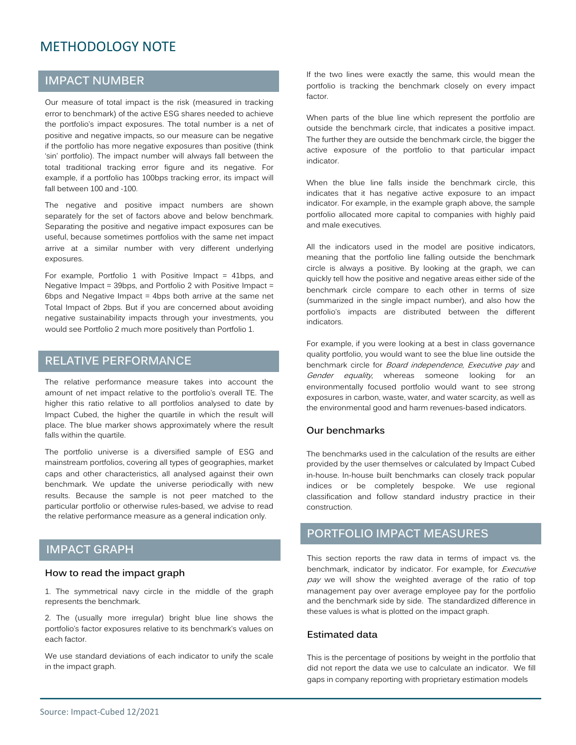# METHODOLOGY NOTE

### **IMPACT NUMBER**

Our measure of total impact is the risk (measured in tracking error to benchmark) of the active ESG shares needed to achieve the portfolio's impact exposures. The total number is a net of positive and negative impacts, so our measure can be negative if the portfolio has more negative exposures than positive (think 'sin' portfolio). The impact number will always fall between the total traditional tracking error figure and its negative. For example, if a portfolio has 100bps tracking error, its impact will fall between 100 and -100.

The negative and positive impact numbers are shown separately for the set of factors above and below benchmark. Separating the positive and negative impact exposures can be useful, because sometimes portfolios with the same net impact arrive at a similar number with very different underlying exposures.

For example, Portfolio 1 with Positive Impact = 41bps, and Negative Impact = 39bps, and Portfolio 2 with Positive Impact = 6bps and Negative Impact = 4bps both arrive at the same net Total Impact of 2bps. But if you are concerned about avoiding negative sustainability impacts through your investments, you would see Portfolio 2 much more positively than Portfolio 1.

### **RELATIVE PERFORMANCE**

The relative performance measure takes into account the amount of net impact relative to the portfolio's overall TE. The higher this ratio relative to all portfolios analysed to date by Impact Cubed, the higher the quartile in which the result will place. The blue marker shows approximately where the result falls within the quartile.

The portfolio universe is a diversified sample of ESG and mainstream portfolios, covering all types of geographies, market caps and other characteristics, all analysed against their own benchmark. We update the universe periodically with new results. Because the sample is not peer matched to the particular portfolio or otherwise rules-based, we advise to read the relative performance measure as a general indication only.

### **IMPACT GRAPH**

#### **How to read the impact graph**

1. The symmetrical navy circle in the middle of the graph represents the benchmark.

2. The (usually more irregular) bright blue line shows the portfolio's factor exposures relative to its benchmark's values on each factor.

We use standard deviations of each indicator to unify the scale in the impact graph.

If the two lines were exactly the same, this would mean the portfolio is tracking the benchmark closely on every impact factor.

When parts of the blue line which represent the portfolio are outside the benchmark circle, that indicates a positive impact. The further they are outside the benchmark circle, the bigger the active exposure of the portfolio to that particular impact indicator.

When the blue line falls inside the benchmark circle, this indicates that it has negative active exposure to an impact indicator. For example, in the example graph above, the sample portfolio allocated more capital to companies with highly paid and male executives.

All the indicators used in the model are positive indicators, meaning that the portfolio line falling outside the benchmark circle is always a positive. By looking at the graph, we can quickly tell how the positive and negative areas either side of the benchmark circle compare to each other in terms of size (summarized in the single impact number), and also how the portfolio's impacts are distributed between the different indicators.

For example, if you were looking at a best in class governance quality portfolio, you would want to see the blue line outside the benchmark circle for Board independence, Executive pay and Gender equality, whereas someone looking for an environmentally focused portfolio would want to see strong exposures in carbon, waste, water, and water scarcity, as well as the environmental good and harm revenues-based indicators.

#### **Our benchmarks**

The benchmarks used in the calculation of the results are either provided by the user themselves or calculated by Impact Cubed in-house. In-house built benchmarks can closely track popular indices or be completely bespoke. We use regional classification and follow standard industry practice in their construction.

# **PORTFOLIO IMPACT MEASURES**

This section reports the raw data in terms of impact vs. the benchmark, indicator by indicator. For example, for Executive pay we will show the weighted average of the ratio of top management pay over average employee pay for the portfolio and the benchmark side by side. The standardized difference in these values is what is plotted on the impact graph.

#### **Estimated data**

This is the percentage of positions by weight in the portfolio that did not report the data we use to calculate an indicator. We fill gaps in company reporting with proprietary estimation models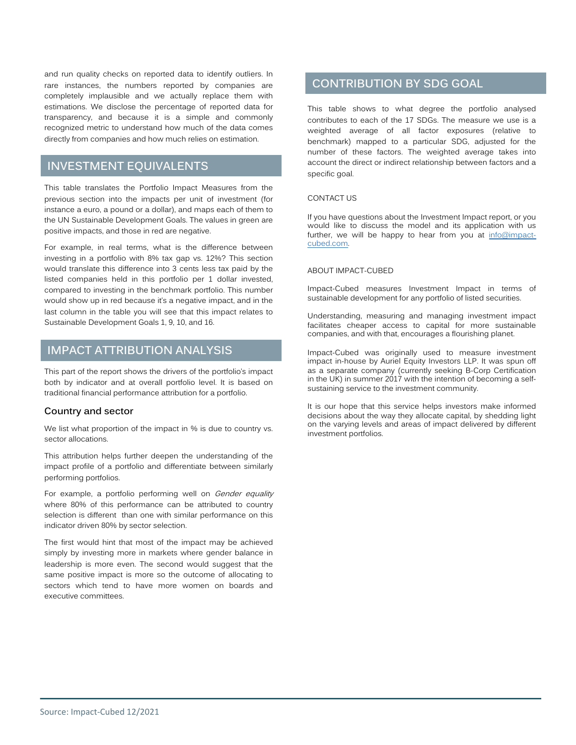and run quality checks on reported data to identify outliers. In rare instances, the numbers reported by companies are completely implausible and we actually replace them with estimations. We disclose the percentage of reported data for transparency, and because it is a simple and commonly recognized metric to understand how much of the data comes directly from companies and how much relies on estimation.

## **INVESTMENT EQUIVALENTS**

This table translates the Portfolio Impact Measures from the previous section into the impacts per unit of investment (for instance a euro, a pound or a dollar), and maps each of them to the UN Sustainable Development Goals. The values in green are positive impacts, and those in red are negative.

For example, in real terms, what is the difference between investing in a portfolio with 8% tax gap vs. 12%? This section would translate this difference into 3 cents less tax paid by the listed companies held in this portfolio per 1 dollar invested, compared to investing in the benchmark portfolio. This number would show up in red because it's a negative impact, and in the last column in the table you will see that this impact relates to Sustainable Development Goals 1, 9, 10, and 16.

### **IMPACT ATTRIBUTION ANALYSIS**

This part of the report shows the drivers of the portfolio's impact both by indicator and at overall portfolio level. It is based on traditional financial performance attribution for a portfolio.

### **Country and sector**

We list what proportion of the impact in % is due to country vs. sector allocations.

This attribution helps further deepen the understanding of the impact profile of a portfolio and differentiate between similarly performing portfolios.

For example, a portfolio performing well on Gender equality where 80% of this performance can be attributed to country selection is different than one with similar performance on this indicator driven 80% by sector selection.

The first would hint that most of the impact may be achieved simply by investing more in markets where gender balance in leadership is more even. The second would suggest that the same positive impact is more so the outcome of allocating to sectors which tend to have more women on boards and executive committees.

### **CONTRIBUTION BY SDG GOAL**

This table shows to what degree the portfolio analysed contributes to each of the 17 SDGs. The measure we use is a weighted average of all factor exposures (relative to benchmark) mapped to a particular SDG, adjusted for the number of these factors. The weighted average takes into account the direct or indirect relationship between factors and a specific goal.

#### CONTACT US

If you have questions about the Investment Impact report, or you would like to discuss the model and its application with us further, we will be happy to hear from you at  $info@impact$ cubed.com.

#### ABOUT IMPACT-CUBED

Impact-Cubed measures Investment Impact in terms of sustainable development for any portfolio of listed securities.

Understanding, measuring and managing investment impact facilitates cheaper access to capital for more sustainable companies, and with that, encourages a flourishing planet.

Impact-Cubed was originally used to measure investment impact in-house by Auriel Equity Investors LLP. It was spun off as a separate company (currently seeking B-Corp Certification in the UK) in summer 2017 with the intention of becoming a selfsustaining service to the investment community.

It is our hope that this service helps investors make informed decisions about the way they allocate capital, by shedding light on the varying levels and areas of impact delivered by different investment portfolios.